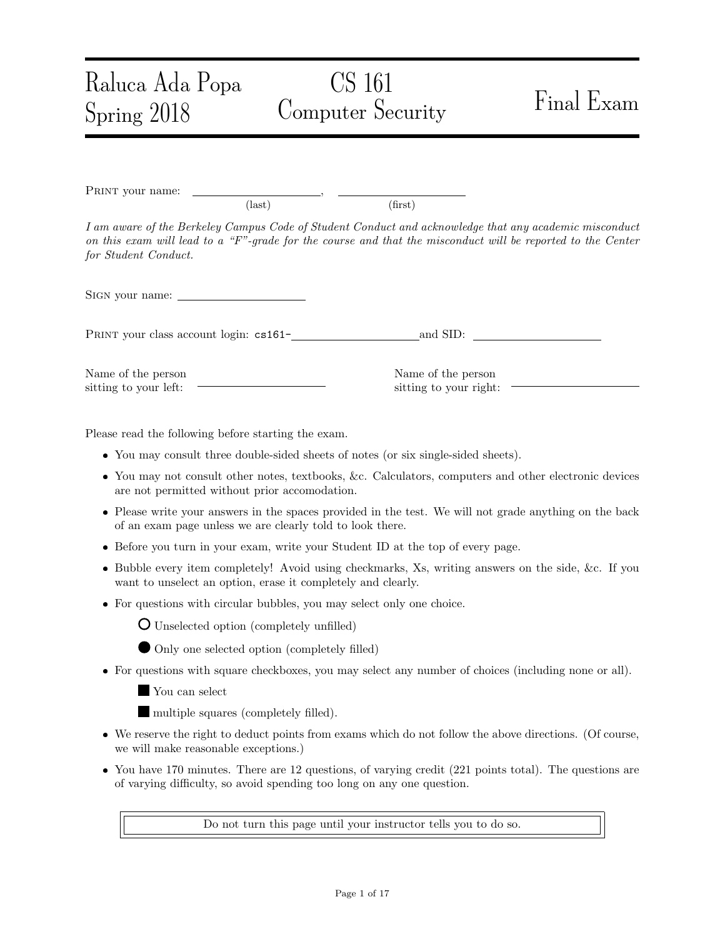# CS 161 Computer Security Final Exam

PRINT your name: (last) (first)

I am aware of the Berkeley Campus Code of Student Conduct and acknowledge that any academic misconduct on this exam will lead to a " $F$ "-grade for the course and that the misconduct will be reported to the Center for Student Conduct.

Sign your name:

Raluca Ada Popa

Spring 2018

PRINT your class account login: cs161- and SID:

Name of the person sitting to your left:

Name of the person sitting to your right:

Please read the following before starting the exam.

- You may consult three double-sided sheets of notes (or six single-sided sheets).
- You may not consult other notes, textbooks, &c. Calculators, computers and other electronic devices are not permitted without prior accomodation.
- Please write your answers in the spaces provided in the test. We will not grade anything on the back of an exam page unless we are clearly told to look there.
- Before you turn in your exam, write your Student ID at the top of every page.
- Bubble every item completely! Avoid using checkmarks, Xs, writing answers on the side, &c. If you want to unselect an option, erase it completely and clearly.
- For questions with circular bubbles, you may select only one choice.



- Unselected option (completely unfilled)
- Only one selected option (completely filled)
- For questions with square checkboxes, you may select any number of choices (including none or all).

You can select

multiple squares (completely filled).

- We reserve the right to deduct points from exams which do not follow the above directions. (Of course, we will make reasonable exceptions.)
- You have 170 minutes. There are 12 questions, of varying credit (221 points total). The questions are of varying difficulty, so avoid spending too long on any one question.

Do not turn this page until your instructor tells you to do so.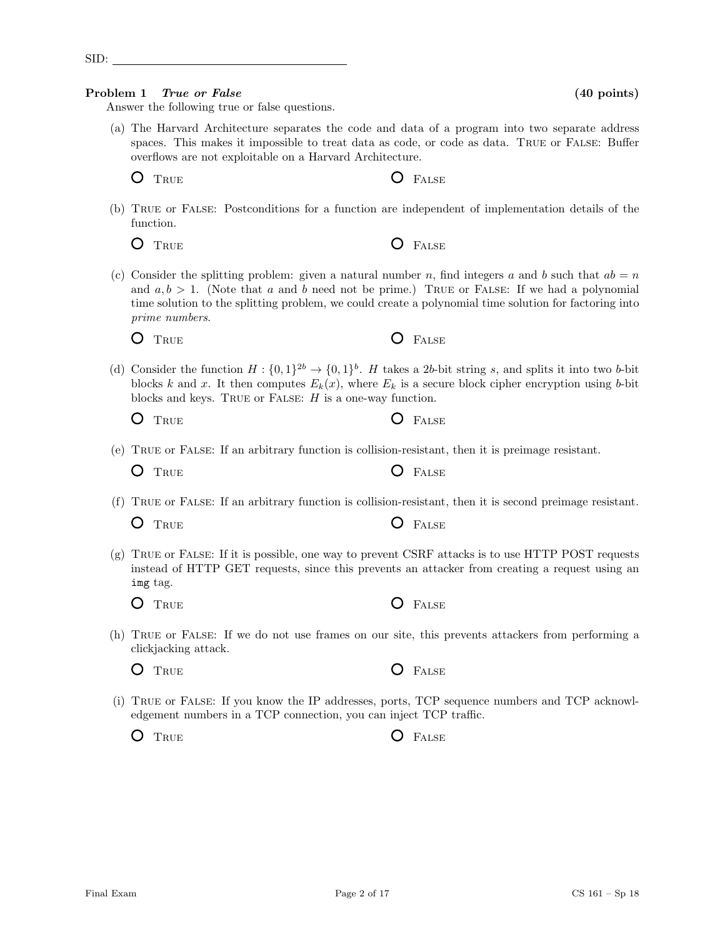Final Exam CS 161 – Sp 18 Page 2 of 17 CS 161 – Sp 18

Answer the following true or false questions.

(a) The Harvard Architecture separates the code and data of a program into two separate address spaces. This makes it impossible to treat data as code, or code as data. TRUE or FALSE: Buffer overflows are not exploitable on a Harvard Architecture.

O TRUE CONSTRUER

(b) True or False: Postconditions for a function are independent of implementation details of the function.

| $O$ True |  | <b>O</b> FALSE |
|----------|--|----------------|
|----------|--|----------------|

(c) Consider the splitting problem: given a natural number n, find integers a and b such that  $ab = n$ and  $a, b > 1$ . (Note that a and b need not be prime.) TRUE or FALSE: If we had a polynomial time solution to the splitting problem, we could create a polynomial time solution for factoring into prime numbers.

(d) Consider the function  $H: \{0,1\}^{2b} \to \{0,1\}^b$ . H takes a 2b-bit string s, and splits it into two b-bit blocks k and x. It then computes  $E_k(x)$ , where  $E_k$  is a secure block cipher encryption using b-bit blocks and keys. TRUE or FALSE:  $H$  is a one-way function.

 $O$  FALSE

 $O$  False

| ×<br>v | × |
|--------|---|
|        |   |

(e) True or False: If an arbitrary function is collision-resistant, then it is preimage resistant.

O TRUE **C** FALSE

(f) True or False: If an arbitrary function is collision-resistant, then it is second preimage resistant.

O TRUE **C** FALSE

(g) True or False: If it is possible, one way to prevent CSRF attacks is to use HTTP POST requests instead of HTTP GET requests, since this prevents an attacker from creating a request using an img tag.

(h) True or False: If we do not use frames on our site, this prevents attackers from performing a clickjacking attack.

O TRUE O FALSE

(i) True or False: If you know the IP addresses, ports, TCP sequence numbers and TCP acknowledgement numbers in a TCP connection, you can inject TCP traffic.

O TRUE **O** FALSE

O TRUE **O** FALSE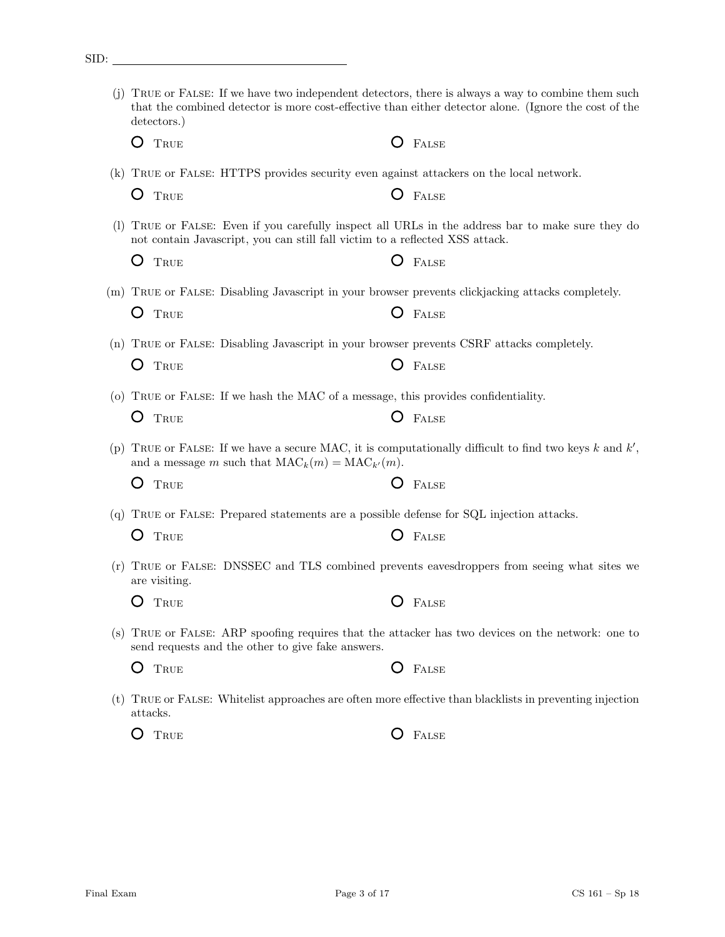| detectors.)                                                                                                                                                                       |   |              |
|-----------------------------------------------------------------------------------------------------------------------------------------------------------------------------------|---|--------------|
| TRUE                                                                                                                                                                              |   | FALSE        |
| (k) TRUE or FALSE: HTTPS provides security even against attackers on the local network.                                                                                           |   |              |
| Ő<br>TRUE                                                                                                                                                                         |   | FALSE        |
| (1) TRUE or FALSE: Even if you carefully inspect all URLs in the address bar to make sure they do<br>not contain Javascript, you can still fall victim to a reflected XSS attack. |   |              |
| TRUE                                                                                                                                                                              |   | FALSE        |
| (m) TRUE or FALSE: Disabling Javascript in your browser prevents clickjacking attacks completely.                                                                                 |   |              |
| TRUE                                                                                                                                                                              |   | <b>FALSE</b> |
| (n) TRUE or FALSE: Disabling Javascript in your browser prevents CSRF attacks completely.                                                                                         |   |              |
| Ő<br>TRUE                                                                                                                                                                         |   | FALSE        |
| (o) TRUE or FALSE: If we hash the MAC of a message, this provides confidentiality.                                                                                                |   |              |
| TRUE                                                                                                                                                                              |   | FALSE        |
| (p) TRUE or FALSE: If we have a secure MAC, it is computationally difficult to find two keys k and $k'$ ,<br>and a message m such that $MAC_k(m) = MAC_{k'}(m)$ .                 |   |              |
| TRUE                                                                                                                                                                              |   | FALSE        |
| (q) TRUE or FALSE: Prepared statements are a possible defense for SQL injection attacks.                                                                                          |   |              |
| TRUE                                                                                                                                                                              |   | FALSE        |
| (r) TRUE or FALSE: DNSSEC and TLS combined prevents eavesdroppers from seeing what sites we<br>are visiting.                                                                      |   |              |
| TRUE                                                                                                                                                                              |   | FALSE        |
| (s) TRUE or FALSE: ARP spoofing requires that the attacker has two devices on the network: one to<br>send requests and the other to give fake answers.                            |   |              |
| TRUE                                                                                                                                                                              | Ő | FALSE        |
| (t) TRUE or FALSE: White list approaches are often more effective than black lists in preventing injection<br>attacks.                                                            |   |              |

O TRUE **O** FALSE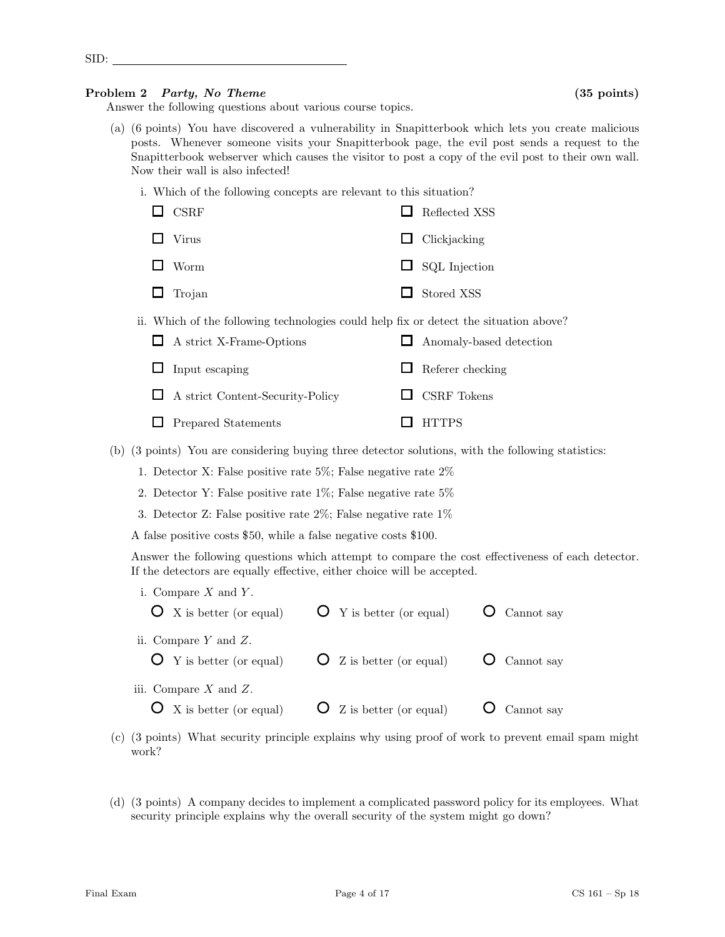Answer the following questions about various course topics.

- (a) (6 points) You have discovered a vulnerability in Snapitterbook which lets you create malicious posts. Whenever someone visits your Snapitterbook page, the evil post sends a request to the Snapitterbook webserver which causes the visitor to post a copy of the evil post to their own wall. Now their wall is also infected!
	- i. Which of the following concepts are relevant to this situation?

| $\Box$ CSRF   | $\Box$ Reflected XSS |
|---------------|----------------------|
| $\Box$ Virus  | $\Box$ Clickjacking  |
| $\Box$ Worm   | $\Box$ SQL Injection |
| $\Box$ Trojan | $\Box$ Stored XSS    |

ii. Which of the following technologies could help fix or detect the situation above?

| $\Box$ A strict X-Frame-Options         | $\Box$ Anomaly-based detection |
|-----------------------------------------|--------------------------------|
| $\Box$ Input escaping                   | $\Box$ Referer checking        |
| $\Box$ A strict Content-Security-Policy | $\Box$ CSRF Tokens             |
| $\Box$ Prepared Statements              | $\Box$ HTTPS                   |

(b) (3 points) You are considering buying three detector solutions, with the following statistics:

- 1. Detector X: False positive rate 5%; False negative rate 2%
- 2. Detector Y: False positive rate 1%; False negative rate 5%
- 3. Detector Z: False positive rate 2%; False negative rate 1%

A false positive costs \$50, while a false negative costs \$100.

Answer the following questions which attempt to compare the cost effectiveness of each detector. If the detectors are equally effective, either choice will be accepted.

| i. Compare $X$ and $Y$ .<br>$\mathbf{O}$ X is better (or equal)   | $\mathbf{O}$ Y is better (or equal)   | $\mathbf{O}$ Cannot say   |
|-------------------------------------------------------------------|---------------------------------------|---------------------------|
| ii. Compare $Y$ and $Z$ .<br>$\mathbf{O}$ Y is better (or equal)  | $\overline{O}$ Z is better (or equal) | $\overline{O}$ Cannot say |
| iii. Compare $X$ and $Z$ .<br>$\mathbf{O}$ X is better (or equal) | $\overline{O}$ Z is better (or equal) | Cannot say                |

- (c) (3 points) What security principle explains why using proof of work to prevent email spam might work?
- (d) (3 points) A company decides to implement a complicated password policy for its employees. What security principle explains why the overall security of the system might go down?

SID: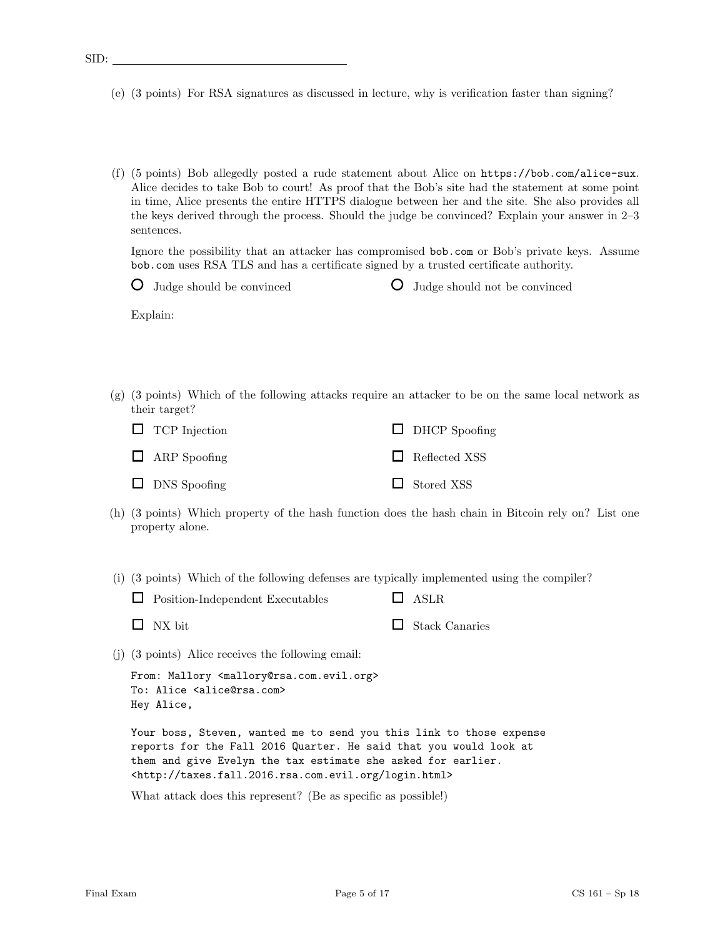- (e) (3 points) For RSA signatures as discussed in lecture, why is verification faster than signing?
- (f) (5 points) Bob allegedly posted a rude statement about Alice on https://bob.com/alice-sux. Alice decides to take Bob to court! As proof that the Bob's site had the statement at some point in time, Alice presents the entire HTTPS dialogue between her and the site. She also provides all the keys derived through the process. Should the judge be convinced? Explain your answer in 2–3 sentences.

Ignore the possibility that an attacker has compromised bob.com or Bob's private keys. Assume bob.com uses RSA TLS and has a certificate signed by a trusted certificate authority.

| $\bigcirc$ Judge should be convinced | <b>O</b> Judge should not be convinced |  |
|--------------------------------------|----------------------------------------|--|

Explain:

(g) (3 points) Which of the following attacks require an attacker to be on the same local network as their target?

| $\Box$ TCP Injection | $\Box$ DHCP Spoofing |
|----------------------|----------------------|
| $\Box$ ARP Spoofing  | Reflected XSS        |
| $\Box$ DNS Spoofing  | $\Box$ Stored XSS    |

(h) (3 points) Which property of the hash function does the hash chain in Bitcoin rely on? List one property alone.

(i) (3 points) Which of the following defenses are typically implemented using the compiler?

| $\Box$ Position-Independent Executables | $\Box$ ASLR           |
|-----------------------------------------|-----------------------|
| $\Box$ NX bit                           | $\Box$ Stack Canaries |

(j) (3 points) Alice receives the following email:

```
From: Mallory <mallory@rsa.com.evil.org>
To: Alice <alice@rsa.com>
Hey Alice,
```
Your boss, Steven, wanted me to send you this link to those expense reports for the Fall 2016 Quarter. He said that you would look at them and give Evelyn the tax estimate she asked for earlier. <http://taxes.fall.2016.rsa.com.evil.org/login.html>

What attack does this represent? (Be as specific as possible!)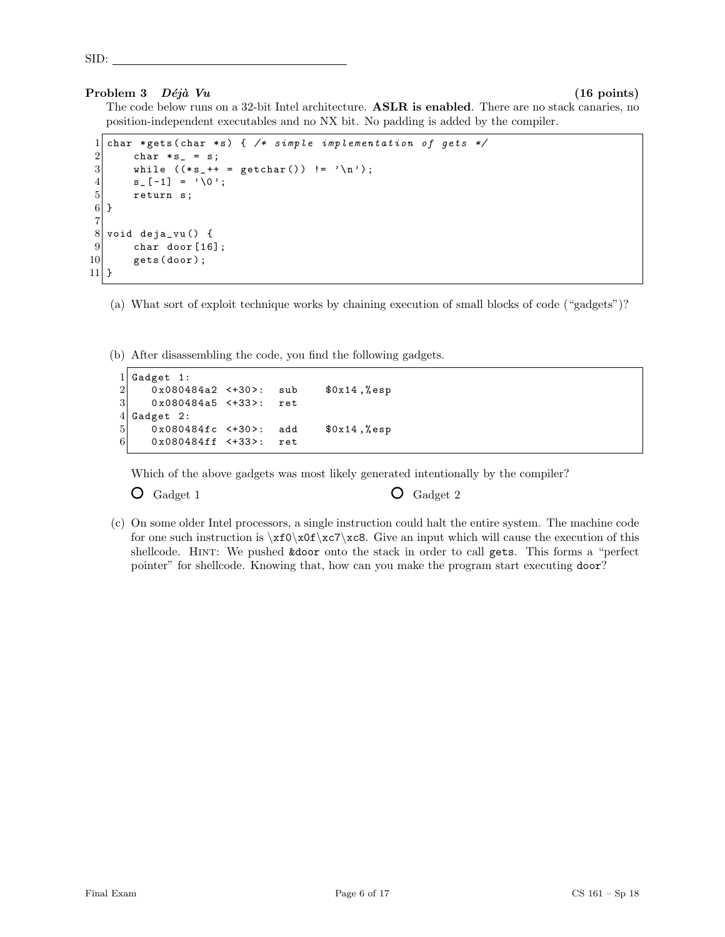### Problem 3  $D\acute{e}i\grave{a}$  Vu (16 points)

SID:

The code below runs on a 32-bit Intel architecture. ASLR is enabled. There are no stack canaries, no position-independent executables and no NX bit. No padding is added by the compiler.

```
1 char * gets (char * s) { /* simple implementation of gets */
 2 char * s_{-} = s;<br>3 while (* s_{-}++ )while ((*_s ++ = getchar()) != '\n');
 \begin{array}{c|c} 4 & \text{s} = [-1] & = \sqrt{0} \; ; \\ 5 & \text{return } \text{s}; \end{array}return s;
 6}
 7
 8 void deja_vu() {
\begin{array}{c} 9 \\ 10 \end{array} char door [16];
           gets (door);
11 }
```
(a) What sort of exploit technique works by chaining execution of small blocks of code ("gadgets")?

(b) After disassembling the code, you find the following gadgets.

```
\begin{array}{c|cc}\n1 & \text{Gagger} & 1: \\
2 & 0 \text{ x} & 0.0804\n\end{array}\begin{array}{ccc} 2 & 0 \times 080484a2 & \leftarrow +30 > : & \text{sub} & \text{$0 \times 14 \end{array}, "sp <br> 0 \times 080484a5 \leftarrow +33 > : ret
          0x080484a5 <+33>: ret
4 Gadget 2:
5 0x080484fc <+30>: add $0x14,%esp
6 0x080484ff <+33>: ret
```
Which of the above gadgets was most likely generated intentionally by the compiler?

 $\overline{O}$  Gadget 1  $\overline{O}$  Gadget 2

(c) On some older Intel processors, a single instruction could halt the entire system. The machine code for one such instruction is  $xfo\xof\zc7\cee.$  Give an input which will cause the execution of this shellcode. Hint: We pushed &door onto the stack in order to call gets. This forms a "perfect pointer" for shellcode. Knowing that, how can you make the program start executing door?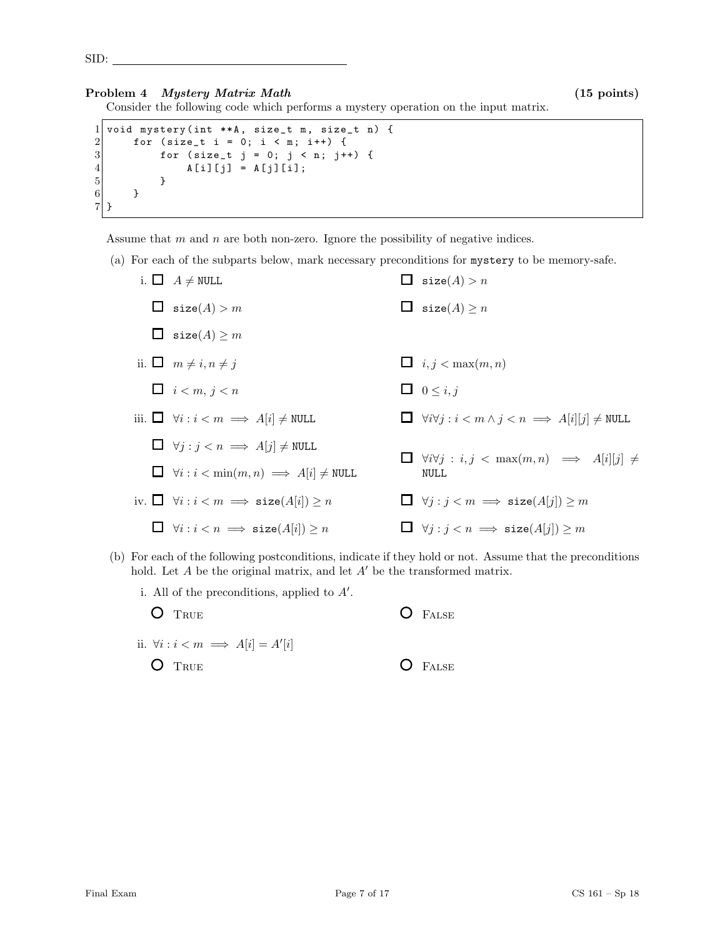### Problem 4 *Mystery Matrix Math* (15 points)

Consider the following code which performs a mystery operation on the input matrix.

```
1 void mystery (int ** A, size_t m, size_t n) {<br>
for (size_t i = 0; i < m; i++) {<br>
for (size_t j = 0; j < n; j++) {<br>
for (size_t j = 0; j < n; j++) {
          for (size_t i = 0; i < m; i++) {
3 for (size_t j = 0; j < n; j++) {<br>
A[i][j] = A[j][i];A[i][j] = A[j][i];5 }
6 }
7 }
```
Assume that  $m$  and  $n$  are both non-zero. Ignore the possibility of negative indices.

(a) For each of the subparts below, mark necessary preconditions for mystery to be memory-safe.

| i. $\Box$ $A \neq \text{NULL}$                                     | $\Box$ size(A) > n                                                                 |
|--------------------------------------------------------------------|------------------------------------------------------------------------------------|
| $\Box$ size(A) > m                                                 | $\Box$ size(A) $\geq n$                                                            |
| $\Box$ size(A) $\geq m$                                            |                                                                                    |
| ii. $\Box$ $m \neq i, n \neq j$                                    | $\Box$ i, j < max $(m, n)$                                                         |
| $\Box$ $i < m, j < n$                                              | $\Box$ 0 $\leq i, j$                                                               |
| iii. $\Box \forall i : i < m \implies A[i] \neq \texttt{NULL}$     | $\Box \forall i \forall j : i < m \land j < n \implies A[i][j] \neq \texttt{NULL}$ |
| $\Box \forall j : j < n \implies A[j] \neq \texttt{NULL}$          | $\Box \forall i \forall j : i, j < \max(m, n) \implies A[i][j] \neq$               |
| $\Box \forall i : i < \min(m, n) \implies A[i] \neq \texttt{NULL}$ | <b>NULL</b>                                                                        |
| iv. $\Box \forall i : i < m \implies \text{size}(A[i]) \geq n$     | $\Box \forall j : j < m \implies \text{size}(A[j]) \geq m$                         |
| $\Box$ $\forall i : i < n \implies$ size(A[i]) $\geq n$            | $\Box \forall j : j < n \implies \text{size}(A[j]) \geq m$                         |

(b) For each of the following postconditions, indicate if they hold or not. Assume that the preconditions hold. Let  $A$  be the original matrix, and let  $A'$  be the transformed matrix.

| i. All of the preconditions, applied to $A'$ . |           |
|------------------------------------------------|-----------|
| $\bigcirc$ True                                | $O$ FALSE |
| ii. $\forall i : i < m \implies A[i] = A'[i]$  |           |
| $\bullet$ True                                 | $O$ FALSE |
|                                                |           |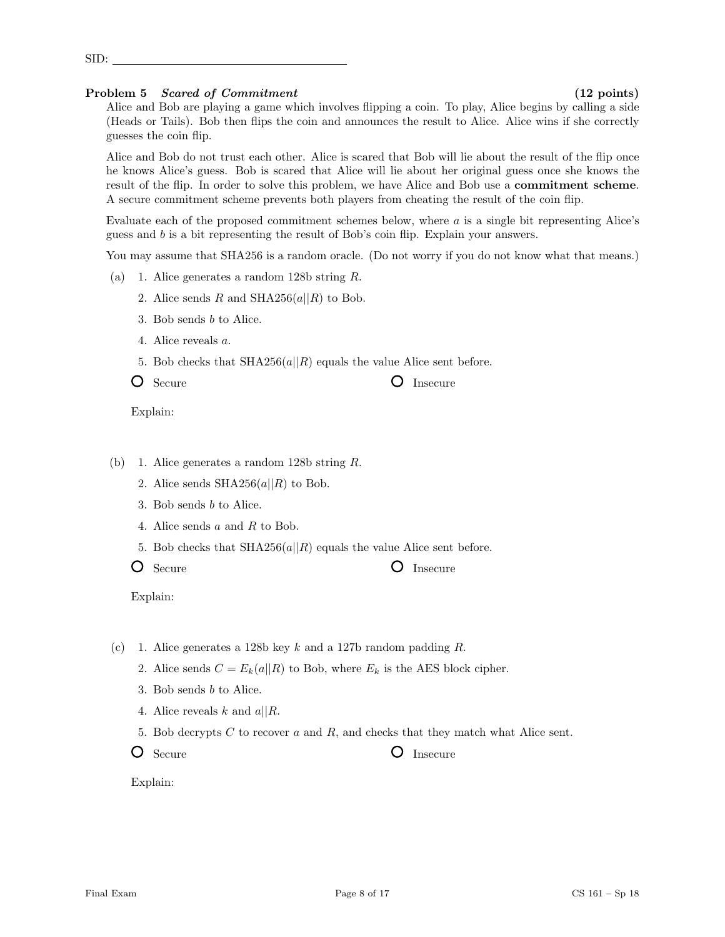- 3. Bob sends b to Alice.
- 
- 5. Bob checks that  $\text{SHA256}(a||R)$  equals the value Alice sent before.
- O Secure O Insecure

Explain:

### (b) 1. Alice generates a random 128b string R.

- 2. Alice sends  $SHA256(a||R)$  to Bob.
- 3. Bob sends b to Alice.
- 4. Alice sends a and R to Bob.
- 5. Bob checks that  $SHA256(a||R)$  equals the value Alice sent before.
- 

O Secure **O** Insecure

Explain:

- (c) 1. Alice generates a 128b key k and a 127b random padding  $R$ .
	- 2. Alice sends  $C = E_k(a||R)$  to Bob, where  $E_k$  is the AES block cipher.
	- 3. Bob sends b to Alice.
	- 4. Alice reveals k and  $a||R$ .
	- 5. Bob decrypts  $C$  to recover  $a$  and  $R$ , and checks that they match what Alice sent.
	- O Secure **O** Insecure

Explain:

Problem 5 Scared of Commitment (12 points) Alice and Bob are playing a game which involves flipping a coin. To play, Alice begins by calling a side (Heads or Tails). Bob then flips the coin and announces the result to Alice. Alice wins if she correctly guesses the coin flip.

Alice and Bob do not trust each other. Alice is scared that Bob will lie about the result of the flip once he knows Alice's guess. Bob is scared that Alice will lie about her original guess once she knows the result of the flip. In order to solve this problem, we have Alice and Bob use a commitment scheme.

A secure commitment scheme prevents both players from cheating the result of the coin flip. Evaluate each of the proposed commitment schemes below, where a is a single bit representing Alice's

guess and b is a bit representing the result of Bob's coin flip. Explain your answers.

You may assume that SHA256 is a random oracle. (Do not worry if you do not know what that means.)

- (a) 1. Alice generates a random 128b string R.
	- 2. Alice sends R and SHA256(a||R) to Bob.
	-
	- 4. Alice reveals a.
	-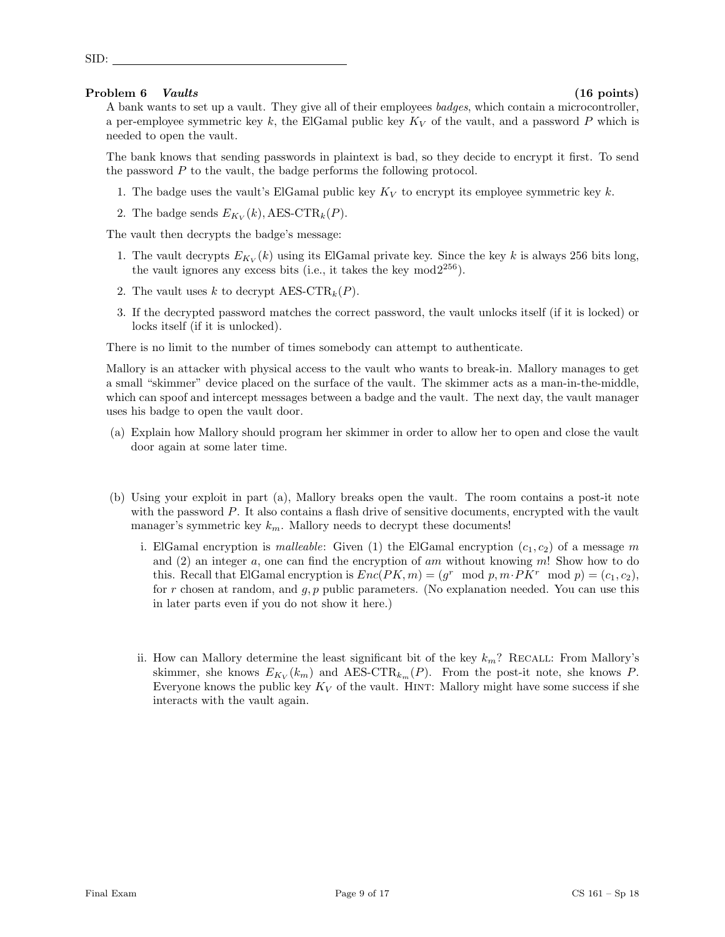### Problem 6 Vaults (16 points) (16 points)

SID:

A bank wants to set up a vault. They give all of their employees badges, which contain a microcontroller, a per-employee symmetric key k, the ElGamal public key  $K_V$  of the vault, and a password P which is needed to open the vault.

The bank knows that sending passwords in plaintext is bad, so they decide to encrypt it first. To send the password P to the vault, the badge performs the following protocol.

- 1. The badge uses the vault's ElGamal public key  $K_V$  to encrypt its employee symmetric key k.
- 2. The badge sends  $E_{K_V}(k)$ , AES-CTR<sub>k</sub>(P).

The vault then decrypts the badge's message:

- 1. The vault decrypts  $E_{K_V}(k)$  using its ElGamal private key. Since the key k is always 256 bits long, the vault ignores any excess bits (i.e., it takes the key  $mod2^{256}$ ).
- 2. The vault uses k to decrypt  $AES-CTR_k(P)$ .
- 3. If the decrypted password matches the correct password, the vault unlocks itself (if it is locked) or locks itself (if it is unlocked).

There is no limit to the number of times somebody can attempt to authenticate.

Mallory is an attacker with physical access to the vault who wants to break-in. Mallory manages to get a small "skimmer" device placed on the surface of the vault. The skimmer acts as a man-in-the-middle, which can spoof and intercept messages between a badge and the vault. The next day, the vault manager uses his badge to open the vault door.

- (a) Explain how Mallory should program her skimmer in order to allow her to open and close the vault door again at some later time.
- (b) Using your exploit in part (a), Mallory breaks open the vault. The room contains a post-it note with the password  $P$ . It also contains a flash drive of sensitive documents, encrypted with the vault manager's symmetric key  $k_m$ . Mallory needs to decrypt these documents!
	- i. ElGamal encryption is *malleable*: Given (1) the ElGamal encryption  $(c_1, c_2)$  of a message m and (2) an integer a, one can find the encryption of am without knowing m! Show how to do this. Recall that ElGamal encryption is  $Enc(PK, m) = (g^r \mod p, m \cdot PK^r \mod p) = (c_1, c_2),$ for r chosen at random, and  $g, p$  public parameters. (No explanation needed. You can use this in later parts even if you do not show it here.)
	- ii. How can Mallory determine the least significant bit of the key  $k_m$ ? RECALL: From Mallory's skimmer, she knows  $E_{K_V}(k_m)$  and AES-CTR<sub>k<sub>m</sub></sub>(P). From the post-it note, she knows P. Everyone knows the public key  $K_V$  of the vault. HINT: Mallory might have some success if she interacts with the vault again.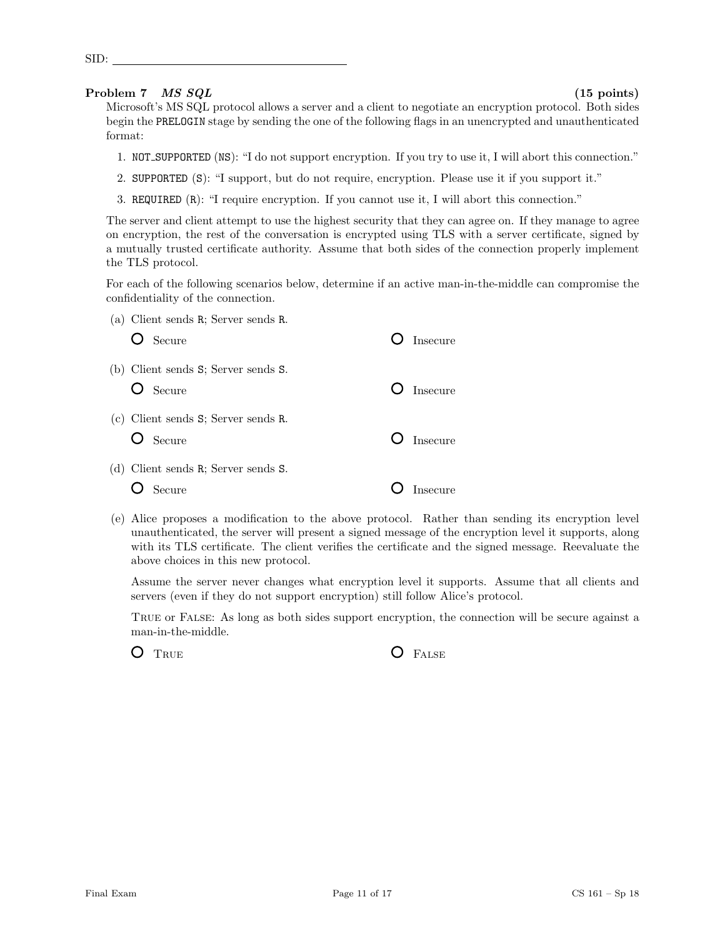### Problem 7 *MS SQL* (15 points)

SID:

Microsoft's MS SQL protocol allows a server and a client to negotiate an encryption protocol. Both sides begin the PRELOGIN stage by sending the one of the following flags in an unencrypted and unauthenticated format:

- 1. NOT SUPPORTED (NS): "I do not support encryption. If you try to use it, I will abort this connection."
- 2. SUPPORTED (S): "I support, but do not require, encryption. Please use it if you support it."
- 3. REQUIRED (R): "I require encryption. If you cannot use it, I will abort this connection."

The server and client attempt to use the highest security that they can agree on. If they manage to agree on encryption, the rest of the conversation is encrypted using TLS with a server certificate, signed by a mutually trusted certificate authority. Assume that both sides of the connection properly implement the TLS protocol.

For each of the following scenarios below, determine if an active man-in-the-middle can compromise the confidentiality of the connection.

| (a) Client sends R; Server sends R.<br>$O$ Secure | Insecure                |
|---------------------------------------------------|-------------------------|
| (b) Client sends S; Server sends S.<br>O Secure   | $\overline{O}$ Insecure |
| (c) Client sends S; Server sends R.<br>O Secure   | $\bigcirc$ Insecure     |
| (d) Client sends R; Server sends S.<br>Secure     | <b>Insecure</b>         |

(e) Alice proposes a modification to the above protocol. Rather than sending its encryption level unauthenticated, the server will present a signed message of the encryption level it supports, along with its TLS certificate. The client verifies the certificate and the signed message. Reevaluate the above choices in this new protocol.

Assume the server never changes what encryption level it supports. Assume that all clients and servers (even if they do not support encryption) still follow Alice's protocol.

True or False: As long as both sides support encryption, the connection will be secure against a man-in-the-middle.

O TRUE **O** FALSE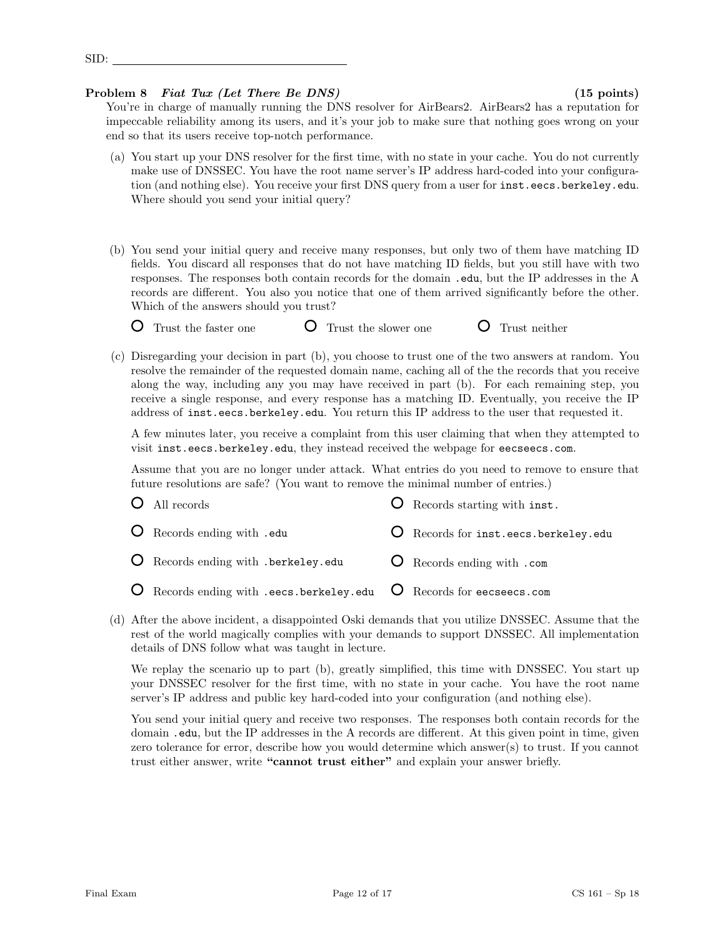## Problem 8 Fiat Tux (Let There Be DNS) (15 points)

You're in charge of manually running the DNS resolver for AirBears2. AirBears2 has a reputation for impeccable reliability among its users, and it's your job to make sure that nothing goes wrong on your end so that its users receive top-notch performance.

- (a) You start up your DNS resolver for the first time, with no state in your cache. You do not currently make use of DNSSEC. You have the root name server's IP address hard-coded into your configuration (and nothing else). You receive your first DNS query from a user for inst.eecs.berkeley.edu. Where should you send your initial query?
- (b) You send your initial query and receive many responses, but only two of them have matching ID fields. You discard all responses that do not have matching ID fields, but you still have with two responses. The responses both contain records for the domain .edu, but the IP addresses in the A records are different. You also you notice that one of them arrived significantly before the other. Which of the answers should you trust?
	- **O** Trust the faster one **C** Trust the slower one **C** Trust neither
- (c) Disregarding your decision in part (b), you choose to trust one of the two answers at random. You
- resolve the remainder of the requested domain name, caching all of the the records that you receive along the way, including any you may have received in part (b). For each remaining step, you receive a single response, and every response has a matching ID. Eventually, you receive the IP address of inst.eecs.berkeley.edu. You return this IP address to the user that requested it.

A few minutes later, you receive a complaint from this user claiming that when they attempted to visit inst.eecs.berkeley.edu, they instead received the webpage for eecseecs.com.

Assume that you are no longer under attack. What entries do you need to remove to ensure that future resolutions are safe? (You want to remove the minimal number of entries.)

| $O$ All records                                                                               | <b>O</b> Records starting with inst. |
|-----------------------------------------------------------------------------------------------|--------------------------------------|
| O Records ending with .edu                                                                    | O Records for inst.eecs.berkeley.edu |
| O Records ending with .berkeley.edu                                                           | <b>O</b> Records ending with .com    |
| $\overline{O}$ Records ending with .eecs.berkeley.edu $\overline{O}$ Records for eecseecs.com |                                      |

(d) After the above incident, a disappointed Oski demands that you utilize DNSSEC. Assume that the rest of the world magically complies with your demands to support DNSSEC. All implementation details of DNS follow what was taught in lecture.

We replay the scenario up to part (b), greatly simplified, this time with DNSSEC. You start up your DNSSEC resolver for the first time, with no state in your cache. You have the root name server's IP address and public key hard-coded into your configuration (and nothing else).

You send your initial query and receive two responses. The responses both contain records for the domain .edu, but the IP addresses in the A records are different. At this given point in time, given zero tolerance for error, describe how you would determine which answer(s) to trust. If you cannot trust either answer, write "cannot trust either" and explain your answer briefly.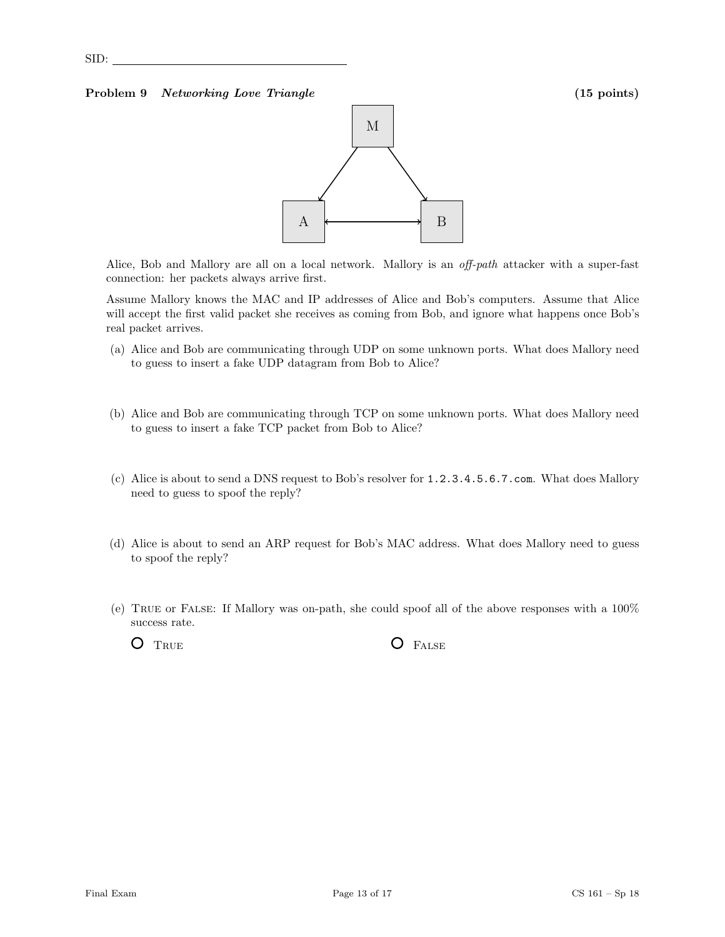### Problem 9 Networking Love Triangle (15 points) (15 points)



Alice, Bob and Mallory are all on a local network. Mallory is an *off-path* attacker with a super-fast connection: her packets always arrive first.

Assume Mallory knows the MAC and IP addresses of Alice and Bob's computers. Assume that Alice will accept the first valid packet she receives as coming from Bob, and ignore what happens once Bob's real packet arrives.

- (a) Alice and Bob are communicating through UDP on some unknown ports. What does Mallory need to guess to insert a fake UDP datagram from Bob to Alice?
- (b) Alice and Bob are communicating through TCP on some unknown ports. What does Mallory need to guess to insert a fake TCP packet from Bob to Alice?
- (c) Alice is about to send a DNS request to Bob's resolver for 1.2.3.4.5.6.7.com. What does Mallory need to guess to spoof the reply?
- (d) Alice is about to send an ARP request for Bob's MAC address. What does Mallory need to guess to spoof the reply?
- (e) True or False: If Mallory was on-path, she could spoof all of the above responses with a 100% success rate.

O TRUE O FALSE

SID: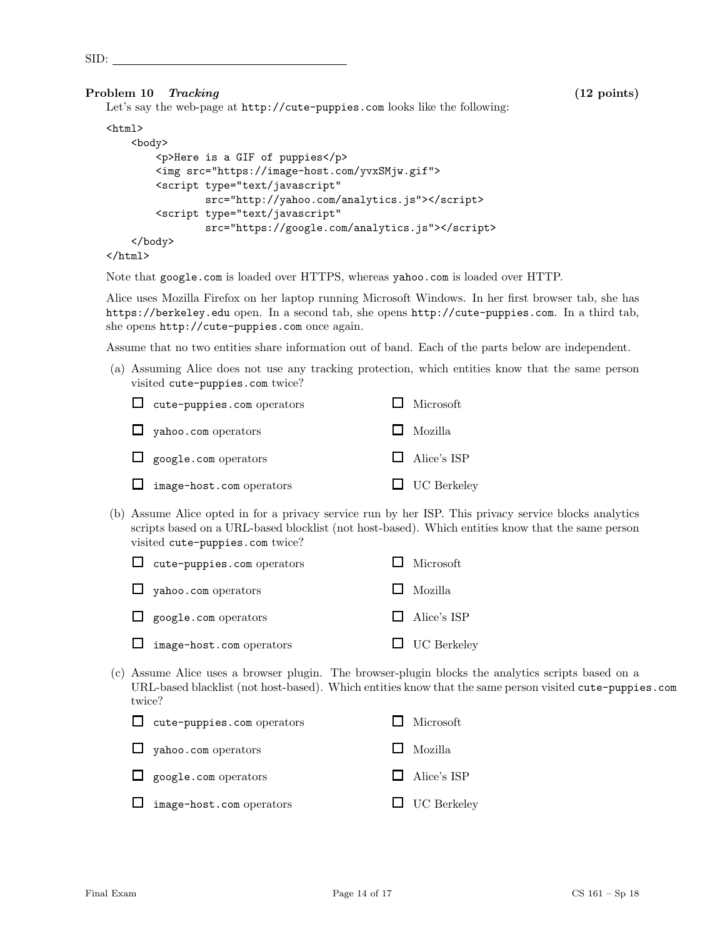### Problem 10 Tracking (12 points) (12 points)

Let's say the web-page at http://cute-puppies.com looks like the following:

### $\verb|html|$

```
<body>
        <p>Here is a GIF of puppies</p>
        <img src="https://image-host.com/yvxSMjw.gif">
        <script type="text/javascript"
                src="http://yahoo.com/analytics.js"></script>
        <script type="text/javascript"
                src="https://google.com/analytics.js"></script>
   </body>
</html>
```
Note that google.com is loaded over HTTPS, whereas yahoo.com is loaded over HTTP.

Alice uses Mozilla Firefox on her laptop running Microsoft Windows. In her first browser tab, she has https://berkeley.edu open. In a second tab, she opens http://cute-puppies.com. In a third tab, she opens http://cute-puppies.com once again.

Assume that no two entities share information out of band. Each of the parts below are independent.

(a) Assuming Alice does not use any tracking protection, which entities know that the same person visited cute-puppies.com twice?

| $\Box$ cute-puppies.com operators | $\Box$ Microsoft   |
|-----------------------------------|--------------------|
| $\Box$ yahoo.com operators        | $\Box$ Mozilla     |
| $\Box$ google.com operators       | $\Box$ Alice's ISP |
| $\Box$ image-host.com operators   | $\Box$ UC Berkeley |

(b) Assume Alice opted in for a privacy service run by her ISP. This privacy service blocks analytics scripts based on a URL-based blocklist (not host-based). Which entities know that the same person visited cute-puppies.com twice?

| $\Box$ cute-puppies.com operators | $\Box$ Microsoft   |
|-----------------------------------|--------------------|
| $\Box$ yahoo.com operators        | $\Box$ Mozilla     |
| $\Box$ google.com operators       | $\Box$ Alice's ISP |
| $\Box$ image-host.com operators   | $\Box$ UC Berkeley |

(c) Assume Alice uses a browser plugin. The browser-plugin blocks the analytics scripts based on a URL-based blacklist (not host-based). Which entities know that the same person visited cute-puppies.com twice?

| $\Box$ cute-puppies.com operators | Microsoft          |
|-----------------------------------|--------------------|
| $\Box$ yahoo.com operators        | $\Box$ Mozilla     |
| $\Box$ google.com operators       | $\Box$ Alice's ISP |
| $\Box$ image-host.com operators   | $\Box$ UC Berkeley |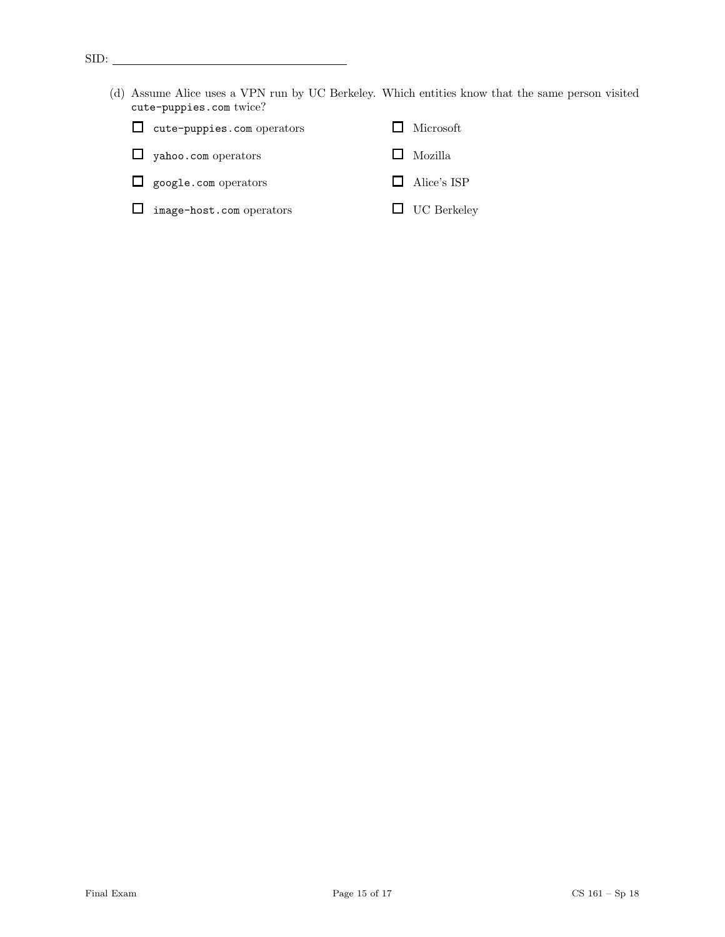- $\text{SID:}$ 
	- (d) Assume Alice uses a VPN run by UC Berkeley. Which entities know that the same person visited cute-puppies.com twice?

| $\Box$ cute-puppies.com operators | $\Box$ Microsoft |
|-----------------------------------|------------------|
| $\Box$ yahoo.com operators        | $\Box$ Mozilla   |

- google.com operators Alice's ISP
- image-host.com operators  $\qquad \qquad \Box \quad \text{UC Berkeley}$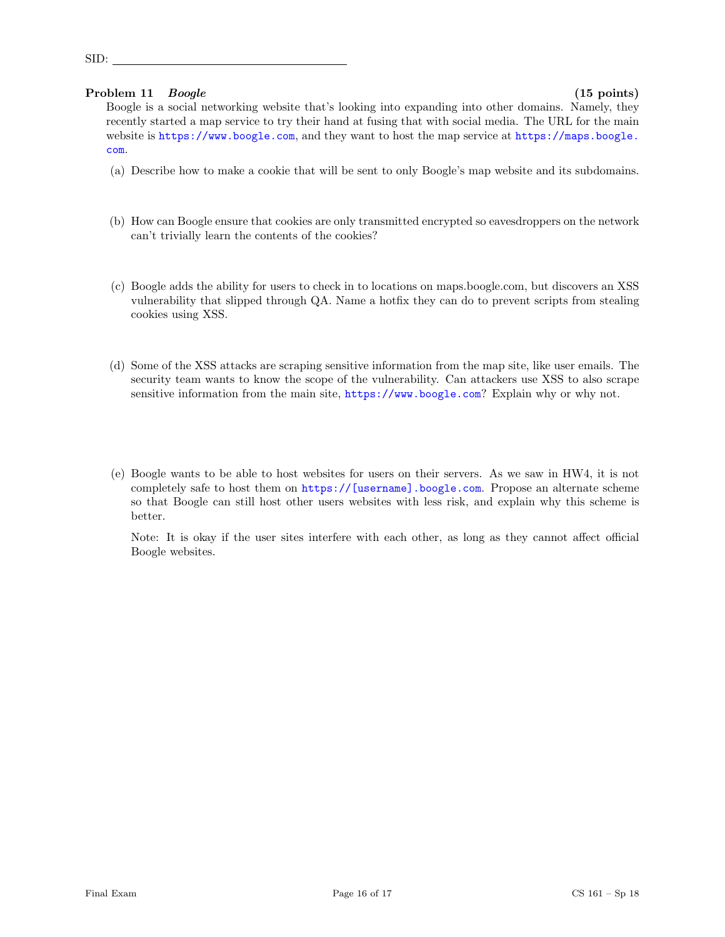### Problem 11 Boogle (15 points)

SID:

Boogle is a social networking website that's looking into expanding into other domains. Namely, they recently started a map service to try their hand at fusing that with social media. The URL for the main website is <https://www.boogle.com>, and they want to host the map service at [https://maps.boogle.](https://maps.boogle.com) [com](https://maps.boogle.com).

- (a) Describe how to make a cookie that will be sent to only Boogle's map website and its subdomains.
- (b) How can Boogle ensure that cookies are only transmitted encrypted so eavesdroppers on the network can't trivially learn the contents of the cookies?
- (c) Boogle adds the ability for users to check in to locations on maps.boogle.com, but discovers an XSS vulnerability that slipped through QA. Name a hotfix they can do to prevent scripts from stealing cookies using XSS.
- (d) Some of the XSS attacks are scraping sensitive information from the map site, like user emails. The security team wants to know the scope of the vulnerability. Can attackers use XSS to also scrape sensitive information from the main site, <https://www.boogle.com>? Explain why or why not.
- (e) Boogle wants to be able to host websites for users on their servers. As we saw in HW4, it is not completely safe to host them on [https://\[username\].boogle.com](https://[username].boogle.com). Propose an alternate scheme so that Boogle can still host other users websites with less risk, and explain why this scheme is better.

Note: It is okay if the user sites interfere with each other, as long as they cannot affect official Boogle websites.